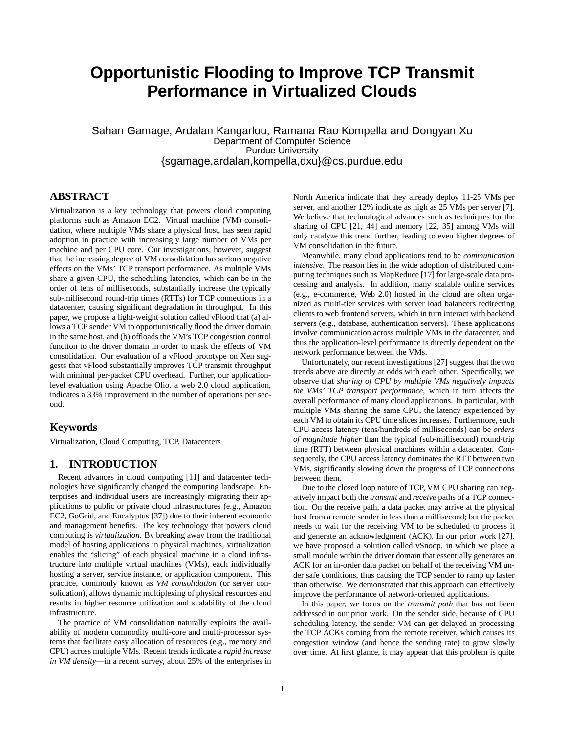# **Opportunistic Flooding to Improve TCP Transmit Performance in Virtualized Clouds**

Sahan Gamage, Ardalan Kangarlou, Ramana Rao Kompella and Dongyan Xu Department of Computer Science Purdue University {sgamage,ardalan,kompella,dxu}@cs.purdue.edu

# **ABSTRACT**

Virtualization is a key technology that powers cloud computing platforms such as Amazon EC2. Virtual machine (VM) consolidation, where multiple VMs share a physical host, has seen rapid adoption in practice with increasingly large number of VMs per machine and per CPU core. Our investigations, however, suggest that the increasing degree of VM consolidation has serious negative effects on the VMs' TCP transport performance. As multiple VMs share a given CPU, the scheduling latencies, which can be in the order of tens of milliseconds, substantially increase the typically sub-millisecond round-trip times (RTTs) for TCP connections in a datacenter, causing significant degradation in throughput. In this paper, we propose a light-weight solution called vFlood that (a) allows a TCP sender VM to opportunistically flood the driver domain in the same host, and (b) offloads the VM's TCP congestion control function to the driver domain in order to mask the effects of VM consolidation. Our evaluation of a vFlood prototype on Xen suggests that vFlood substantially improves TCP transmit throughput with minimal per-packet CPU overhead. Further, our applicationlevel evaluation using Apache Olio, a web 2.0 cloud application, indicates a 33% improvement in the number of operations per second.

# **Keywords**

Virtualization, Cloud Computing, TCP, Datacenters

# **1. INTRODUCTION**

Recent advances in cloud computing [11] and datacenter technologies have significantly changed the computing landscape. Enterprises and individual users are increasingly migrating their applications to public or private cloud infrastructures (e.g., Amazon EC2, GoGrid, and Eucalyptus [37]) due to their inherent economic and management benefits. The key technology that powers cloud computing is *virtualization*. By breaking away from the traditional model of hosting applications in physical machines, virtualization enables the "slicing" of each physical machine in a cloud infrastructure into multiple virtual machines (VMs), each individually hosting a server, service instance, or application component. This practice, commonly known as *VM consolidation* (or server consolidation), allows dynamic multiplexing of physical resources and results in higher resource utilization and scalability of the cloud infrastructure.

The practice of VM consolidation naturally exploits the availability of modern commodity multi-core and multi-processor systems that facilitate easy allocation of resources (e.g., memory and CPU) across multiple VMs. Recent trends indicate a *rapid increase in VM density*—in a recent survey, about 25% of the enterprises in North America indicate that they already deploy 11-25 VMs per server, and another 12% indicate as high as 25 VMs per server [7]. We believe that technological advances such as techniques for the sharing of CPU [21, 44] and memory [22, 35] among VMs will only catalyze this trend further, leading to even higher degrees of VM consolidation in the future.

Meanwhile, many cloud applications tend to be *communication intensive*. The reason lies in the wide adoption of distributed computing techniques such as MapReduce [17] for large-scale data processing and analysis. In addition, many scalable online services (e.g., e-commerce, Web 2.0) hosted in the cloud are often organized as multi-tier services with server load balancers redirecting clients to web frontend servers, which in turn interact with backend servers (e.g., database, authentication servers). These applications involve communication across multiple VMs in the datacenter, and thus the application-level performance is directly dependent on the network performance between the VMs.

Unfortunately, our recent investigations [27] suggest that the two trends above are directly at odds with each other. Specifically, we observe that *sharing of CPU by multiple VMs negatively impacts the VMs' TCP transport performance*, which in turn affects the overall performance of many cloud applications. In particular, with multiple VMs sharing the same CPU, the latency experienced by each VM to obtain its CPU time slices increases. Furthermore, such CPU access latency (tens/hundreds of milliseconds) can be *orders of magnitude higher* than the typical (sub-millisecond) round-trip time (RTT) between physical machines within a datacenter. Consequently, the CPU access latency dominates the RTT between two VMs, significantly slowing down the progress of TCP connections between them.

Due to the closed loop nature of TCP, VM CPU sharing can negatively impact both the *transmit* and *receive* paths of a TCP connection. On the receive path, a data packet may arrive at the physical host from a remote sender in less than a millisecond; but the packet needs to wait for the receiving VM to be scheduled to process it and generate an acknowledgment (ACK). In our prior work [27], we have proposed a solution called vSnoop, in which we place a small module within the driver domain that essentially generates an ACK for an in-order data packet on behalf of the receiving VM under safe conditions, thus causing the TCP sender to ramp up faster than otherwise. We demonstrated that this approach can effectively improve the performance of network-oriented applications.

In this paper, we focus on the *transmit path* that has not been addressed in our prior work. On the sender side, because of CPU scheduling latency, the sender VM can get delayed in processing the TCP ACKs coming from the remote receiver, which causes its congestion window (and hence the sending rate) to grow slowly over time. At first glance, it may appear that this problem is quite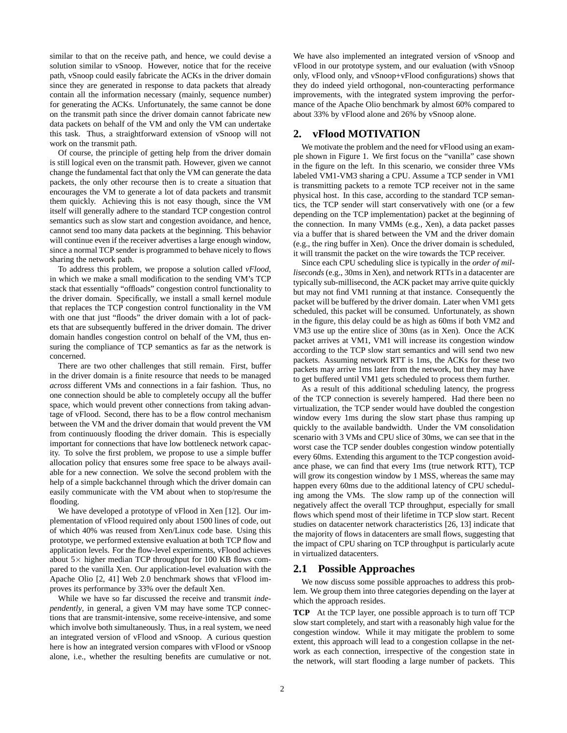similar to that on the receive path, and hence, we could devise a solution similar to vSnoop. However, notice that for the receive path, vSnoop could easily fabricate the ACKs in the driver domain since they are generated in response to data packets that already contain all the information necessary (mainly, sequence number) for generating the ACKs. Unfortunately, the same cannot be done on the transmit path since the driver domain cannot fabricate new data packets on behalf of the VM and only the VM can undertake this task. Thus, a straightforward extension of vSnoop will not work on the transmit path.

Of course, the principle of getting help from the driver domain is still logical even on the transmit path. However, given we cannot change the fundamental fact that only the VM can generate the data packets, the only other recourse then is to create a situation that encourages the VM to generate a lot of data packets and transmit them quickly. Achieving this is not easy though, since the VM itself will generally adhere to the standard TCP congestion control semantics such as slow start and congestion avoidance, and hence, cannot send too many data packets at the beginning. This behavior will continue even if the receiver advertises a large enough window, since a normal TCP sender is programmed to behave nicely to flows sharing the network path.

To address this problem, we propose a solution called *vFlood*, in which we make a small modification to the sending VM's TCP stack that essentially "offloads" congestion control functionality to the driver domain. Specifically, we install a small kernel module that replaces the TCP congestion control functionality in the VM with one that just "floods" the driver domain with a lot of packets that are subsequently buffered in the driver domain. The driver domain handles congestion control on behalf of the VM, thus ensuring the compliance of TCP semantics as far as the network is concerned.

There are two other challenges that still remain. First, buffer in the driver domain is a finite resource that needs to be managed *across* different VMs and connections in a fair fashion. Thus, no one connection should be able to completely occupy all the buffer space, which would prevent other connections from taking advantage of vFlood. Second, there has to be a flow control mechanism between the VM and the driver domain that would prevent the VM from continuously flooding the driver domain. This is especially important for connections that have low bottleneck network capacity. To solve the first problem, we propose to use a simple buffer allocation policy that ensures some free space to be always available for a new connection. We solve the second problem with the help of a simple backchannel through which the driver domain can easily communicate with the VM about when to stop/resume the flooding.

We have developed a prototype of vFlood in Xen [12]. Our implementation of vFlood required only about 1500 lines of code, out of which 40% was reused from Xen/Linux code base. Using this prototype, we performed extensive evaluation at both TCP flow and application levels. For the flow-level experiments, vFlood achieves about  $5\times$  higher median TCP throughput for 100 KB flows compared to the vanilla Xen. Our application-level evaluation with the Apache Olio [2, 41] Web 2.0 benchmark shows that vFlood improves its performance by 33% over the default Xen.

While we have so far discussed the receive and transmit *independently*, in general, a given VM may have some TCP connections that are transmit-intensive, some receive-intensive, and some which involve both simultaneously. Thus, in a real system, we need an integrated version of vFlood and vSnoop. A curious question here is how an integrated version compares with vFlood or vSnoop alone, i.e., whether the resulting benefits are cumulative or not.

We have also implemented an integrated version of vSnoop and vFlood in our prototype system, and our evaluation (with vSnoop only, vFlood only, and vSnoop+vFlood configurations) shows that they do indeed yield orthogonal, non-counteracting performance improvements, with the integrated system improving the performance of the Apache Olio benchmark by almost 60% compared to about 33% by vFlood alone and 26% by vSnoop alone.

## **2. vFlood MOTIVATION**

We motivate the problem and the need for vFlood using an example shown in Figure 1. We first focus on the "vanilla" case shown in the figure on the left. In this scenario, we consider three VMs labeled VM1-VM3 sharing a CPU. Assume a TCP sender in VM1 is transmitting packets to a remote TCP receiver not in the same physical host. In this case, according to the standard TCP semantics, the TCP sender will start conservatively with one (or a few depending on the TCP implementation) packet at the beginning of the connection. In many VMMs (e.g., Xen), a data packet passes via a buffer that is shared between the VM and the driver domain (e.g., the ring buffer in Xen). Once the driver domain is scheduled, it will transmit the packet on the wire towards the TCP receiver.

Since each CPU scheduling slice is typically in the *order of milliseconds* (e.g., 30ms in Xen), and network RTTs in a datacenter are typically sub-millisecond, the ACK packet may arrive quite quickly but may not find VM1 running at that instance. Consequently the packet will be buffered by the driver domain. Later when VM1 gets scheduled, this packet will be consumed. Unfortunately, as shown in the figure, this delay could be as high as 60ms if both VM2 and VM3 use up the entire slice of 30ms (as in Xen). Once the ACK packet arrives at VM1, VM1 will increase its congestion window according to the TCP slow start semantics and will send two new packets. Assuming network RTT is 1ms, the ACKs for these two packets may arrive 1ms later from the network, but they may have to get buffered until VM1 gets scheduled to process them further.

As a result of this additional scheduling latency, the progress of the TCP connection is severely hampered. Had there been no virtualization, the TCP sender would have doubled the congestion window every 1ms during the slow start phase thus ramping up quickly to the available bandwidth. Under the VM consolidation scenario with 3 VMs and CPU slice of 30ms, we can see that in the worst case the TCP sender doubles congestion window potentially every 60ms. Extending this argument to the TCP congestion avoidance phase, we can find that every 1ms (true network RTT), TCP will grow its congestion window by 1 MSS, whereas the same may happen every 60ms due to the additional latency of CPU scheduling among the VMs. The slow ramp up of the connection will negatively affect the overall TCP throughput, especially for small flows which spend most of their lifetime in TCP slow start. Recent studies on datacenter network characteristics [26, 13] indicate that the majority of flows in datacenters are small flows, suggesting that the impact of CPU sharing on TCP throughput is particularly acute in virtualized datacenters.

## **2.1 Possible Approaches**

We now discuss some possible approaches to address this problem. We group them into three categories depending on the layer at which the approach resides.

**TCP** At the TCP layer, one possible approach is to turn off TCP slow start completely, and start with a reasonably high value for the congestion window. While it may mitigate the problem to some extent, this approach will lead to a congestion collapse in the network as each connection, irrespective of the congestion state in the network, will start flooding a large number of packets. This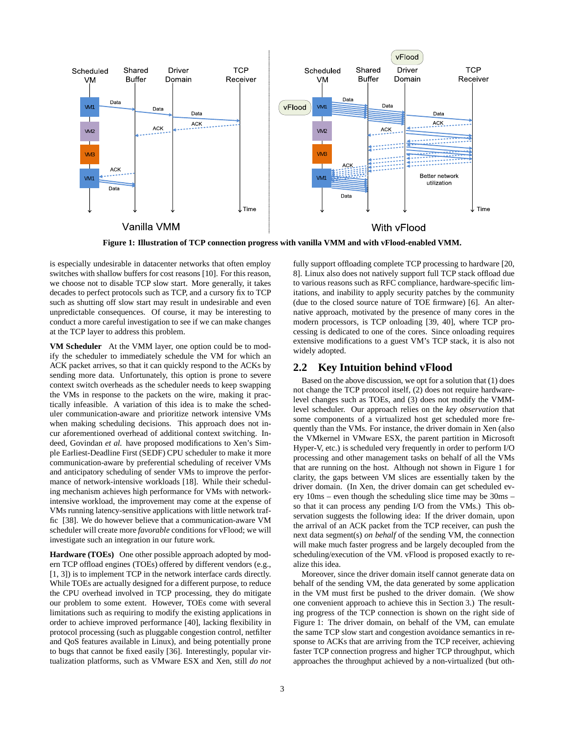

**Figure 1: Illustration of TCP connection progress with vanilla VMM and with vFlood-enabled VMM.**

is especially undesirable in datacenter networks that often employ switches with shallow buffers for cost reasons [10]. For this reason, we choose not to disable TCP slow start. More generally, it takes decades to perfect protocols such as TCP, and a cursory fix to TCP such as shutting off slow start may result in undesirable and even unpredictable consequences. Of course, it may be interesting to conduct a more careful investigation to see if we can make changes at the TCP layer to address this problem.

**VM Scheduler** At the VMM layer, one option could be to modify the scheduler to immediately schedule the VM for which an ACK packet arrives, so that it can quickly respond to the ACKs by sending more data. Unfortunately, this option is prone to severe context switch overheads as the scheduler needs to keep swapping the VMs in response to the packets on the wire, making it practically infeasible. A variation of this idea is to make the scheduler communication-aware and prioritize network intensive VMs when making scheduling decisions. This approach does not incur aforementioned overhead of additional context switching. Indeed, Govindan *et al.* have proposed modifications to Xen's Simple Earliest-Deadline First (SEDF) CPU scheduler to make it more communication-aware by preferential scheduling of receiver VMs and anticipatory scheduling of sender VMs to improve the performance of network-intensive workloads [18]. While their scheduling mechanism achieves high performance for VMs with networkintensive workload, the improvement may come at the expense of VMs running latency-sensitive applications with little network traffic [38]. We do however believe that a communication-aware VM scheduler will create more *favorable* conditions for vFlood; we will investigate such an integration in our future work.

**Hardware (TOEs)** One other possible approach adopted by modern TCP offload engines (TOEs) offered by different vendors (e.g., [1, 3]) is to implement TCP in the network interface cards directly. While TOEs are actually designed for a different purpose, to reduce the CPU overhead involved in TCP processing, they do mitigate our problem to some extent. However, TOEs come with several limitations such as requiring to modify the existing applications in order to achieve improved performance [40], lacking flexibility in protocol processing (such as pluggable congestion control, netfilter and QoS features available in Linux), and being potentially prone to bugs that cannot be fixed easily [36]. Interestingly, popular virtualization platforms, such as VMware ESX and Xen, still *do not*

fully support offloading complete TCP processing to hardware [20, 8]. Linux also does not natively support full TCP stack offload due to various reasons such as RFC compliance, hardware-specific limitations, and inability to apply security patches by the community (due to the closed source nature of TOE firmware) [6]. An alternative approach, motivated by the presence of many cores in the modern processors, is TCP onloading [39, 40], where TCP processing is dedicated to one of the cores. Since onloading requires extensive modifications to a guest VM's TCP stack, it is also not widely adopted.

## **2.2 Key Intuition behind vFlood**

Based on the above discussion, we opt for a solution that (1) does not change the TCP protocol itself, (2) does not require hardwarelevel changes such as TOEs, and (3) does not modify the VMMlevel scheduler. Our approach relies on the *key observation* that some components of a virtualized host get scheduled more frequently than the VMs. For instance, the driver domain in Xen (also the VMkernel in VMware ESX, the parent partition in Microsoft Hyper-V, etc.) is scheduled very frequently in order to perform I/O processing and other management tasks on behalf of all the VMs that are running on the host. Although not shown in Figure 1 for clarity, the gaps between VM slices are essentially taken by the driver domain. (In Xen, the driver domain can get scheduled every 10ms – even though the scheduling slice time may be 30ms – so that it can process any pending I/O from the VMs.) This observation suggests the following idea: If the driver domain, upon the arrival of an ACK packet from the TCP receiver, can push the next data segment(s) *on behalf* of the sending VM, the connection will make much faster progress and be largely decoupled from the scheduling/execution of the VM. vFlood is proposed exactly to realize this idea.

Moreover, since the driver domain itself cannot generate data on behalf of the sending VM, the data generated by some application in the VM must first be pushed to the driver domain. (We show one convenient approach to achieve this in Section 3.) The resulting progress of the TCP connection is shown on the right side of Figure 1: The driver domain, on behalf of the VM, can emulate the same TCP slow start and congestion avoidance semantics in response to ACKs that are arriving from the TCP receiver, achieving faster TCP connection progress and higher TCP throughput, which approaches the throughput achieved by a non-virtualized (but oth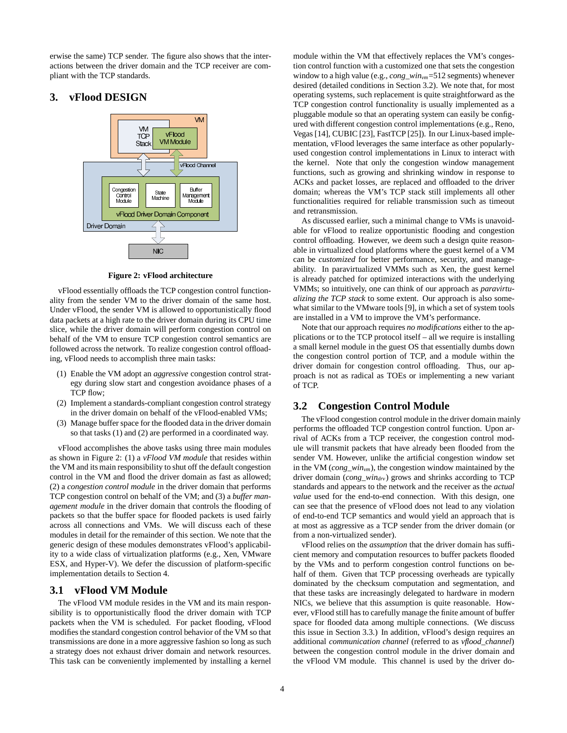erwise the same) TCP sender. The figure also shows that the interactions between the driver domain and the TCP receiver are compliant with the TCP standards.

# **3. vFlood DESIGN**



**Figure 2: vFlood architecture**

vFlood essentially offloads the TCP congestion control functionality from the sender VM to the driver domain of the same host. Under vFlood, the sender VM is allowed to opportunistically flood data packets at a high rate to the driver domain during its CPU time slice, while the driver domain will perform congestion control on behalf of the VM to ensure TCP congestion control semantics are followed across the network. To realize congestion control offloading, vFlood needs to accomplish three main tasks:

- (1) Enable the VM adopt an *aggressive* congestion control strategy during slow start and congestion avoidance phases of a TCP flow;
- (2) Implement a standards-compliant congestion control strategy in the driver domain on behalf of the vFlood-enabled VMs;
- (3) Manage buffer space for the flooded data in the driver domain so that tasks (1) and (2) are performed in a coordinated way.

vFlood accomplishes the above tasks using three main modules as shown in Figure 2: (1) a *vFlood VM module* that resides within the VM and its main responsibility to shut off the default congestion control in the VM and flood the driver domain as fast as allowed; (2) a *congestion control module* in the driver domain that performs TCP congestion control on behalf of the VM; and (3) a *buffer management module* in the driver domain that controls the flooding of packets so that the buffer space for flooded packets is used fairly across all connections and VMs. We will discuss each of these modules in detail for the remainder of this section. We note that the generic design of these modules demonstrates vFlood's applicability to a wide class of virtualization platforms (e.g., Xen, VMware ESX, and Hyper-V). We defer the discussion of platform-specific implementation details to Section 4.

# **3.1 vFlood VM Module**

The vFlood VM module resides in the VM and its main responsibility is to opportunistically flood the driver domain with TCP packets when the VM is scheduled. For packet flooding, vFlood modifies the standard congestion control behavior of the VM so that transmissions are done in a more aggressive fashion so long as such a strategy does not exhaust driver domain and network resources. This task can be conveniently implemented by installing a kernel

module within the VM that effectively replaces the VM's congestion control function with a customized one that sets the congestion window to a high value (e.g., *cong\_winvm*=512 segments) whenever desired (detailed conditions in Section 3.2). We note that, for most operating systems, such replacement is quite straightforward as the TCP congestion control functionality is usually implemented as a pluggable module so that an operating system can easily be configured with different congestion control implementations (e.g., Reno, Vegas [14], CUBIC [23], FastTCP [25]). In our Linux-based implementation, vFlood leverages the same interface as other popularlyused congestion control implementations in Linux to interact with the kernel. Note that only the congestion window management functions, such as growing and shrinking window in response to ACKs and packet losses, are replaced and offloaded to the driver domain; whereas the VM's TCP stack still implements all other functionalities required for reliable transmission such as timeout and retransmission.

As discussed earlier, such a minimal change to VMs is unavoidable for vFlood to realize opportunistic flooding and congestion control offloading. However, we deem such a design quite reasonable in virtualized cloud platforms where the guest kernel of a VM can be *customized* for better performance, security, and manageability. In paravirtualized VMMs such as Xen, the guest kernel is already patched for optimized interactions with the underlying VMMs; so intuitively, one can think of our approach as *paravirtualizing the TCP stack* to some extent. Our approach is also somewhat similar to the VMware tools [9], in which a set of system tools are installed in a VM to improve the VM's performance.

Note that our approach requires *no modifications* either to the applications or to the TCP protocol itself – all we require is installing a small kernel module in the guest OS that essentially dumbs down the congestion control portion of TCP, and a module within the driver domain for congestion control offloading. Thus, our approach is not as radical as TOEs or implementing a new variant of TCP.

## **3.2 Congestion Control Module**

The vFlood congestion control module in the driver domain mainly performs the offloaded TCP congestion control function. Upon arrival of ACKs from a TCP receiver, the congestion control module will transmit packets that have already been flooded from the sender VM. However, unlike the artificial congestion window set in the VM (*cong\_winvm*), the congestion window maintained by the driver domain (*cong\_windrv*) grows and shrinks according to TCP standards and appears to the network and the receiver as the *actual value* used for the end-to-end connection. With this design, one can see that the presence of vFlood does not lead to any violation of end-to-end TCP semantics and would yield an approach that is at most as aggressive as a TCP sender from the driver domain (or from a non-virtualized sender).

vFlood relies on the *assumption* that the driver domain has sufficient memory and computation resources to buffer packets flooded by the VMs and to perform congestion control functions on behalf of them. Given that TCP processing overheads are typically dominated by the checksum computation and segmentation, and that these tasks are increasingly delegated to hardware in modern NICs, we believe that this assumption is quite reasonable. However, vFlood still has to carefully manage the finite amount of buffer space for flooded data among multiple connections. (We discuss this issue in Section 3.3.) In addition, vFlood's design requires an additional *communication channel* (referred to as *vflood\_channel*) between the congestion control module in the driver domain and the vFlood VM module. This channel is used by the driver do-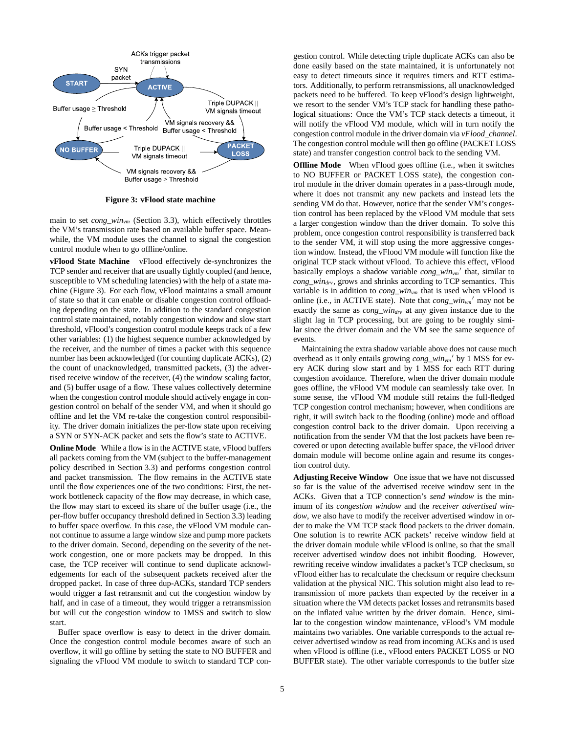

**Figure 3: vFlood state machine**

main to set *cong\_winvm* (Section 3.3), which effectively throttles the VM's transmission rate based on available buffer space. Meanwhile, the VM module uses the channel to signal the congestion control module when to go offline/online.

**vFlood State Machine** vFlood effectively de-synchronizes the TCP sender and receiver that are usually tightly coupled (and hence, susceptible to VM scheduling latencies) with the help of a state machine (Figure 3). For each flow, vFlood maintains a small amount of state so that it can enable or disable congestion control offloading depending on the state. In addition to the standard congestion control state maintained, notably congestion window and slow start threshold, vFlood's congestion control module keeps track of a few other variables: (1) the highest sequence number acknowledged by the receiver, and the number of times a packet with this sequence number has been acknowledged (for counting duplicate ACKs), (2) the count of unacknowledged, transmitted packets, (3) the advertised receive window of the receiver, (4) the window scaling factor, and (5) buffer usage of a flow. These values collectively determine when the congestion control module should actively engage in congestion control on behalf of the sender VM, and when it should go offline and let the VM re-take the congestion control responsibility. The driver domain initializes the per-flow state upon receiving a SYN or SYN-ACK packet and sets the flow's state to ACTIVE.

**Online Mode** While a flow is in the ACTIVE state, vFlood buffers all packets coming from the VM (subject to the buffer-management policy described in Section 3.3) and performs congestion control and packet transmission. The flow remains in the ACTIVE state until the flow experiences one of the two conditions: First, the network bottleneck capacity of the flow may decrease, in which case, the flow may start to exceed its share of the buffer usage (i.e., the per-flow buffer occupancy threshold defined in Section 3.3) leading to buffer space overflow. In this case, the vFlood VM module cannot continue to assume a large window size and pump more packets to the driver domain. Second, depending on the severity of the network congestion, one or more packets may be dropped. In this case, the TCP receiver will continue to send duplicate acknowledgements for each of the subsequent packets received after the dropped packet. In case of three dup-ACKs, standard TCP senders would trigger a fast retransmit and cut the congestion window by half, and in case of a timeout, they would trigger a retransmission but will cut the congestion window to 1MSS and switch to slow start.

Buffer space overflow is easy to detect in the driver domain. Once the congestion control module becomes aware of such an overflow, it will go offline by setting the state to NO BUFFER and signaling the vFlood VM module to switch to standard TCP congestion control. While detecting triple duplicate ACKs can also be done easily based on the state maintained, it is unfortunately not easy to detect timeouts since it requires timers and RTT estimators. Additionally, to perform retransmissions, all unacknowledged packets need to be buffered. To keep vFlood's design lightweight, we resort to the sender VM's TCP stack for handling these pathological situations: Once the VM's TCP stack detects a timeout, it will notify the vFlood VM module, which will in turn notify the congestion control module in the driver domain via *vFlood\_channel*. The congestion control module will then go offline (PACKET LOSS state) and transfer congestion control back to the sending VM.

**Offline Mode** When vFlood goes offline (i.e., when it switches to NO BUFFER or PACKET LOSS state), the congestion control module in the driver domain operates in a pass-through mode, where it does not transmit any new packets and instead lets the sending VM do that. However, notice that the sender VM's congestion control has been replaced by the vFlood VM module that sets a larger congestion window than the driver domain. To solve this problem, once congestion control responsibility is transferred back to the sender VM, it will stop using the more aggressive congestion window. Instead, the vFlood VM module will function like the original TCP stack without vFlood. To achieve this effect, vFlood basically employs a shadow variable *cong\_winvm* ′ that, similar to *cong\_windrv* , grows and shrinks according to TCP semantics. This variable is in addition to *cong\_winvm* that is used when vFlood is online (i.e., in ACTIVE state). Note that *cong\_winvm* ′ may not be exactly the same as *cong\_windrv* at any given instance due to the slight lag in TCP processing, but are going to be roughly similar since the driver domain and the VM see the same sequence of events.

Maintaining the extra shadow variable above does not cause much overhead as it only entails growing *cong\_winvm* ′ by 1 MSS for every ACK during slow start and by 1 MSS for each RTT during congestion avoidance. Therefore, when the driver domain module goes offline, the vFlood VM module can seamlessly take over. In some sense, the vFlood VM module still retains the full-fledged TCP congestion control mechanism; however, when conditions are right, it will switch back to the flooding (online) mode and offload congestion control back to the driver domain. Upon receiving a notification from the sender VM that the lost packets have been recovered or upon detecting available buffer space, the vFlood driver domain module will become online again and resume its congestion control duty.

**Adjusting Receive Window** One issue that we have not discussed so far is the value of the advertised receive window sent in the ACKs. Given that a TCP connection's *send window* is the minimum of its *congestion window* and the *receiver advertised window*, we also have to modify the receiver advertised window in order to make the VM TCP stack flood packets to the driver domain. One solution is to rewrite ACK packets' receive window field at the driver domain module while vFlood is online, so that the small receiver advertised window does not inhibit flooding. However, rewriting receive window invalidates a packet's TCP checksum, so vFlood either has to recalculate the checksum or require checksum validation at the physical NIC. This solution might also lead to retransmission of more packets than expected by the receiver in a situation where the VM detects packet losses and retransmits based on the inflated value written by the driver domain. Hence, similar to the congestion window maintenance, vFlood's VM module maintains two variables. One variable corresponds to the actual receiver advertised window as read from incoming ACKs and is used when vFlood is offline (i.e., vFlood enters PACKET LOSS or NO BUFFER state). The other variable corresponds to the buffer size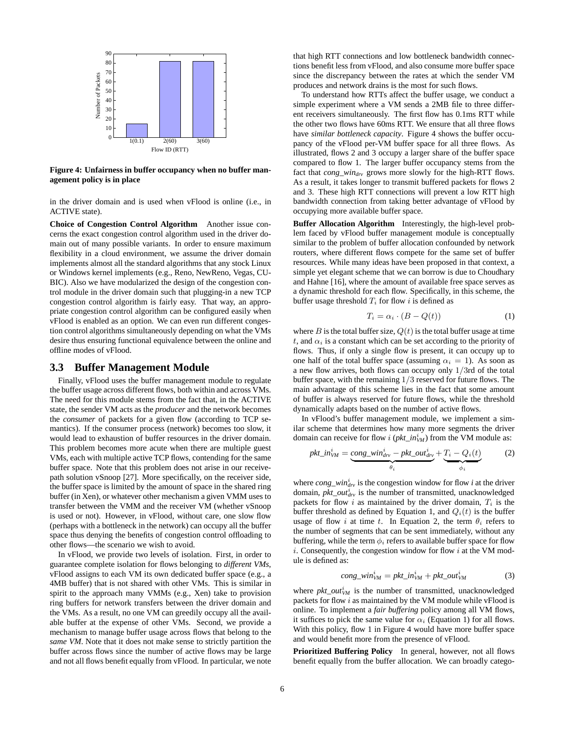

**Figure 4: Unfairness in buffer occupancy when no buffer management policy is in place**

in the driver domain and is used when vFlood is online (i.e., in ACTIVE state).

**Choice of Congestion Control Algorithm** Another issue concerns the exact congestion control algorithm used in the driver domain out of many possible variants. In order to ensure maximum flexibility in a cloud environment, we assume the driver domain implements almost all the standard algorithms that any stock Linux or Windows kernel implements (e.g., Reno, NewReno, Vegas, CU-BIC). Also we have modularized the design of the congestion control module in the driver domain such that plugging-in a new TCP congestion control algorithm is fairly easy. That way, an appropriate congestion control algorithm can be configured easily when vFlood is enabled as an option. We can even run different congestion control algorithms simultaneously depending on what the VMs desire thus ensuring functional equivalence between the online and offline modes of vFlood.

#### **3.3 Buffer Management Module**

Finally, vFlood uses the buffer management module to regulate the buffer usage across different flows, both within and across VMs. The need for this module stems from the fact that, in the ACTIVE state, the sender VM acts as the *producer* and the network becomes the *consumer* of packets for a given flow (according to TCP semantics). If the consumer process (network) becomes too slow, it would lead to exhaustion of buffer resources in the driver domain. This problem becomes more acute when there are multiple guest VMs, each with multiple active TCP flows, contending for the same buffer space. Note that this problem does not arise in our receivepath solution vSnoop [27]. More specifically, on the receiver side, the buffer space is limited by the amount of space in the shared ring buffer (in Xen), or whatever other mechanism a given VMM uses to transfer between the VMM and the receiver VM (whether vSnoop is used or not). However, in vFlood, without care, one slow flow (perhaps with a bottleneck in the network) can occupy all the buffer space thus denying the benefits of congestion control offloading to other flows—the scenario we wish to avoid.

In vFlood, we provide two levels of isolation. First, in order to guarantee complete isolation for flows belonging to *different VMs*, vFlood assigns to each VM its own dedicated buffer space (e.g., a 4MB buffer) that is not shared with other VMs. This is similar in spirit to the approach many VMMs (e.g., Xen) take to provision ring buffers for network transfers between the driver domain and the VMs. As a result, no one VM can greedily occupy all the available buffer at the expense of other VMs. Second, we provide a mechanism to manage buffer usage across flows that belong to the *same VM*. Note that it does not make sense to strictly partition the buffer across flows since the number of active flows may be large and not all flows benefit equally from vFlood. In particular, we note that high RTT connections and low bottleneck bandwidth connections benefit less from vFlood, and also consume more buffer space since the discrepancy between the rates at which the sender VM produces and network drains is the most for such flows.

To understand how RTTs affect the buffer usage, we conduct a simple experiment where a VM sends a 2MB file to three different receivers simultaneously. The first flow has 0.1ms RTT while the other two flows have 60ms RTT. We ensure that all three flows have *similar bottleneck capacity*. Figure 4 shows the buffer occupancy of the vFlood per-VM buffer space for all three flows. As illustrated, flows 2 and 3 occupy a larger share of the buffer space compared to flow 1. The larger buffer occupancy stems from the fact that *cong\_windrv* grows more slowly for the high-RTT flows. As a result, it takes longer to transmit buffered packets for flows 2 and 3. These high RTT connections will prevent a low RTT high bandwidth connection from taking better advantage of vFlood by occupying more available buffer space.

**Buffer Allocation Algorithm** Interestingly, the high-level problem faced by vFlood buffer management module is conceptually similar to the problem of buffer allocation confounded by network routers, where different flows compete for the same set of buffer resources. While many ideas have been proposed in that context, a simple yet elegant scheme that we can borrow is due to Choudhary and Hahne [16], where the amount of available free space serves as a dynamic threshold for each flow. Specifically, in this scheme, the buffer usage threshold  $T_i$  for flow i is defined as

$$
T_i = \alpha_i \cdot (B - Q(t)) \tag{1}
$$

where B is the total buffer size,  $Q(t)$  is the total buffer usage at time t, and  $\alpha_i$  is a constant which can be set according to the priority of flows. Thus, if only a single flow is present, it can occupy up to one half of the total buffer space (assuming  $\alpha_i = 1$ ). As soon as a new flow arrives, both flows can occupy only 1/3rd of the total buffer space, with the remaining 1/3 reserved for future flows. The main advantage of this scheme lies in the fact that some amount of buffer is always reserved for future flows, while the threshold dynamically adapts based on the number of active flows.

In vFlood's buffer management module, we implement a similar scheme that determines how many more segments the driver domain can receive for flow i  $(\mathit{pkt\_in}_{VM}^i)$  from the VM module as:

$$
pkt\_in_{VM}^{i} = \underbrace{cong\_win_{dry}^{i}}_{\theta_i} - pkt\_out_{dry}^{i} + \underbrace{T_i - Q_i(t)}_{\phi_i}
$$
 (2)

where  $cong_{wini_{\text{dry}}}^{i}$  is the congestion window for flow *i* at the driver domain, *pkt\_out*<sup>*i*</sup><sub>*drv*</sub> is the number of transmitted, unacknowledged packets for flow i as maintained by the driver domain,  $T_i$  is the buffer threshold as defined by Equation 1, and  $Q_i(t)$  is the buffer usage of flow i at time t. In Equation 2, the term  $\theta_i$  refers to the number of segments that can be sent immediately, without any buffering, while the term  $\phi_i$  refers to available buffer space for flow  $i.$  Consequently, the congestion window for flow  $i$  at the VM module is defined as:

$$
cong\_win_{VM}^i = pkt\_in_{VM}^i + pkt\_out_{VM}^i \tag{3}
$$

where  $pkt\_out_{VM}^i$  is the number of transmitted, unacknowledged packets for flow i as maintained by the VM module while vFlood is online. To implement a *fair buffering* policy among all VM flows, it suffices to pick the same value for  $\alpha_i$  (Equation 1) for all flows. With this policy, flow 1 in Figure 4 would have more buffer space and would benefit more from the presence of vFlood.

**Prioritized Buffering Policy** In general, however, not all flows benefit equally from the buffer allocation. We can broadly catego-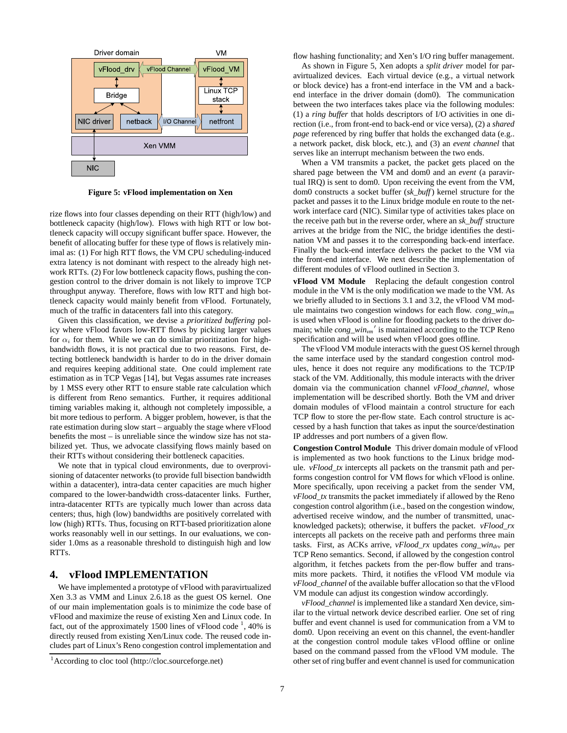

**Figure 5: vFlood implementation on Xen**

rize flows into four classes depending on their RTT (high/low) and bottleneck capacity (high/low). Flows with high RTT or low bottleneck capacity will occupy significant buffer space. However, the benefit of allocating buffer for these type of flows is relatively minimal as: (1) For high RTT flows, the VM CPU scheduling-induced extra latency is not dominant with respect to the already high network RTTs. (2) For low bottleneck capacity flows, pushing the congestion control to the driver domain is not likely to improve TCP throughput anyway. Therefore, flows with low RTT and high bottleneck capacity would mainly benefit from vFlood. Fortunately, much of the traffic in datacenters fall into this category.

Given this classification, we devise a *prioritized buffering* policy where vFlood favors low-RTT flows by picking larger values for  $\alpha_i$  for them. While we can do similar prioritization for highbandwidth flows, it is not practical due to two reasons. First, detecting bottleneck bandwidth is harder to do in the driver domain and requires keeping additional state. One could implement rate estimation as in TCP Vegas [14], but Vegas assumes rate increases by 1 MSS every other RTT to ensure stable rate calculation which is different from Reno semantics. Further, it requires additional timing variables making it, although not completely impossible, a bit more tedious to perform. A bigger problem, however, is that the rate estimation during slow start – arguably the stage where vFlood benefits the most – is unreliable since the window size has not stabilized yet. Thus, we advocate classifying flows mainly based on their RTTs without considering their bottleneck capacities.

We note that in typical cloud environments, due to overprovisioning of datacenter networks (to provide full bisection bandwidth within a datacenter), intra-data center capacities are much higher compared to the lower-bandwidth cross-datacenter links. Further, intra-datacenter RTTs are typically much lower than across data centers; thus, high (low) bandwidths are positively correlated with low (high) RTTs. Thus, focusing on RTT-based prioritization alone works reasonably well in our settings. In our evaluations, we consider 1.0ms as a reasonable threshold to distinguish high and low RTTs.

# **4. vFlood IMPLEMENTATION**

We have implemented a prototype of vFlood with paravirtualized Xen 3.3 as VMM and Linux 2.6.18 as the guest OS kernel. One of our main implementation goals is to minimize the code base of vFlood and maximize the reuse of existing Xen and Linux code. In fact, out of the approximately 1500 lines of vFlood code<sup>1</sup>, 40% is directly reused from existing Xen/Linux code. The reused code includes part of Linux's Reno congestion control implementation and

flow hashing functionality; and Xen's I/O ring buffer management.

As shown in Figure 5, Xen adopts a *split driver* model for paravirtualized devices. Each virtual device (e.g., a virtual network or block device) has a front-end interface in the VM and a backend interface in the driver domain (dom0). The communication between the two interfaces takes place via the following modules: (1) a *ring buffer* that holds descriptors of I/O activities in one direction (i.e., from front-end to back-end or vice versa), (2) a *shared page* referenced by ring buffer that holds the exchanged data (e.g.. a network packet, disk block, etc.), and (3) an *event channel* that serves like an interrupt mechanism between the two ends.

When a VM transmits a packet, the packet gets placed on the shared page between the VM and dom0 and an *event* (a paravirtual IRQ) is sent to dom0. Upon receiving the event from the VM, dom0 constructs a socket buffer (*sk\_buff*) kernel structure for the packet and passes it to the Linux bridge module en route to the network interface card (NIC). Similar type of activities takes place on the receive path but in the reverse order, where an *sk\_buff* structure arrives at the bridge from the NIC, the bridge identifies the destination VM and passes it to the corresponding back-end interface. Finally the back-end interface delivers the packet to the VM via the front-end interface. We next describe the implementation of different modules of vFlood outlined in Section 3.

**vFlood VM Module** Replacing the default congestion control module in the VM is the only modification we made to the VM. As we briefly alluded to in Sections 3.1 and 3.2, the vFlood VM module maintains two congestion windows for each flow. *cong\_winvm* is used when vFlood is online for flooding packets to the driver domain; while *cong\_winvm* ′ is maintained according to the TCP Reno specification and will be used when vFlood goes offline.

The vFlood VM module interacts with the guest OS kernel through the same interface used by the standard congestion control modules, hence it does not require any modifications to the TCP/IP stack of the VM. Additionally, this module interacts with the driver domain via the communication channel *vFlood\_channel*, whose implementation will be described shortly. Both the VM and driver domain modules of vFlood maintain a control structure for each TCP flow to store the per-flow state. Each control structure is accessed by a hash function that takes as input the source/destination IP addresses and port numbers of a given flow.

**Congestion Control Module** This driver domain module of vFlood is implemented as two hook functions to the Linux bridge module. *vFlood\_tx* intercepts all packets on the transmit path and performs congestion control for VM flows for which vFlood is online. More specifically, upon receiving a packet from the sender VM, *vFlood\_tx* transmits the packet immediately if allowed by the Reno congestion control algorithm (i.e., based on the congestion window, advertised receive window, and the number of transmitted, unacknowledged packets); otherwise, it buffers the packet. *vFlood\_rx* intercepts all packets on the receive path and performs three main tasks. First, as ACKs arrive, *vFlood\_rx* updates *cong\_windrv* per TCP Reno semantics. Second, if allowed by the congestion control algorithm, it fetches packets from the per-flow buffer and transmits more packets. Third, it notifies the vFlood VM module via *vFlood\_channel* of the available buffer allocation so that the vFlood VM module can adjust its congestion window accordingly.

*vFlood\_channel* is implemented like a standard Xen device, similar to the virtual network device described earlier. One set of ring buffer and event channel is used for communication from a VM to dom0. Upon receiving an event on this channel, the event-handler at the congestion control module takes vFlood offline or online based on the command passed from the vFlood VM module. The other set of ring buffer and event channel is used for communication

<sup>1</sup>According to cloc tool (http://cloc.sourceforge.net)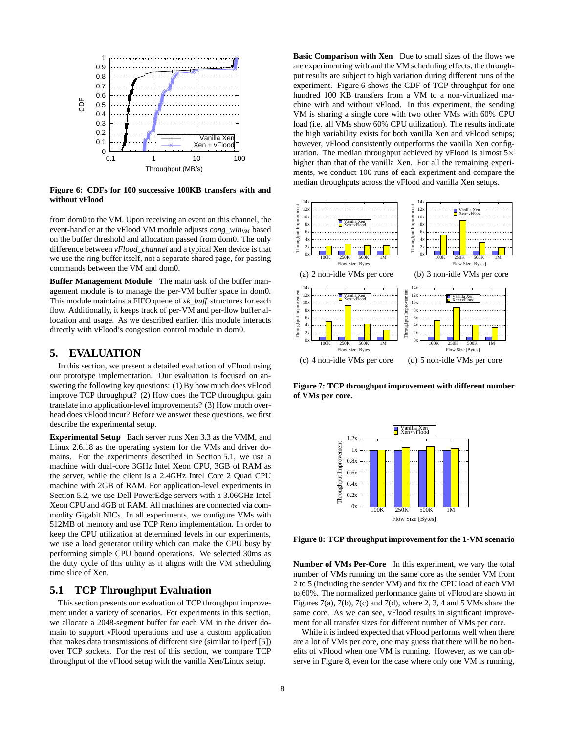

**Figure 6: CDFs for 100 successive 100KB transfers with and without vFlood**

from dom0 to the VM. Upon receiving an event on this channel, the event-handler at the vFlood VM module adjusts *cong\_winVM* based on the buffer threshold and allocation passed from dom0. The only difference between *vFlood\_channel* and a typical Xen device is that we use the ring buffer itself, not a separate shared page, for passing commands between the VM and dom0.

**Buffer Management Module** The main task of the buffer management module is to manage the per-VM buffer space in dom0. This module maintains a FIFO queue of *sk\_buff* structures for each flow. Additionally, it keeps track of per-VM and per-flow buffer allocation and usage. As we described earlier, this module interacts directly with vFlood's congestion control module in dom0.

# **5. EVALUATION**

In this section, we present a detailed evaluation of vFlood using our prototype implementation. Our evaluation is focused on answering the following key questions: (1) By how much does vFlood improve TCP throughput? (2) How does the TCP throughput gain translate into application-level improvements? (3) How much overhead does vFlood incur? Before we answer these questions, we first describe the experimental setup.

**Experimental Setup** Each server runs Xen 3.3 as the VMM, and Linux 2.6.18 as the operating system for the VMs and driver domains. For the experiments described in Section 5.1, we use a machine with dual-core 3GHz Intel Xeon CPU, 3GB of RAM as the server, while the client is a 2.4GHz Intel Core 2 Quad CPU machine with 2GB of RAM. For application-level experiments in Section 5.2, we use Dell PowerEdge servers with a 3.06GHz Intel Xeon CPU and 4GB of RAM. All machines are connected via commodity Gigabit NICs. In all experiments, we configure VMs with 512MB of memory and use TCP Reno implementation. In order to keep the CPU utilization at determined levels in our experiments, we use a load generator utility which can make the CPU busy by performing simple CPU bound operations. We selected 30ms as the duty cycle of this utility as it aligns with the VM scheduling time slice of Xen.

# **5.1 TCP Throughput Evaluation**

This section presents our evaluation of TCP throughput improvement under a variety of scenarios. For experiments in this section, we allocate a 2048-segment buffer for each VM in the driver domain to support vFlood operations and use a custom application that makes data transmissions of different size (similar to Iperf [5]) over TCP sockets. For the rest of this section, we compare TCP throughput of the vFlood setup with the vanilla Xen/Linux setup.

**Basic Comparison with Xen** Due to small sizes of the flows we are experimenting with and the VM scheduling effects, the throughput results are subject to high variation during different runs of the experiment. Figure 6 shows the CDF of TCP throughput for one hundred 100 KB transfers from a VM to a non-virtualized machine with and without vFlood. In this experiment, the sending VM is sharing a single core with two other VMs with 60% CPU load (i.e. all VMs show 60% CPU utilization). The results indicate the high variability exists for both vanilla Xen and vFlood setups; however, vFlood consistently outperforms the vanilla Xen configuration. The median throughput achieved by vFlood is almost  $5\times$ higher than that of the vanilla Xen. For all the remaining experiments, we conduct 100 runs of each experiment and compare the median throughputs across the vFlood and vanilla Xen setups.



**Figure 7: TCP throughput improvement with different number of VMs per core.**



**Figure 8: TCP throughput improvement for the 1-VM scenario**

**Number of VMs Per-Core** In this experiment, we vary the total number of VMs running on the same core as the sender VM from 2 to 5 (including the sender VM) and fix the CPU load of each VM to 60%. The normalized performance gains of vFlood are shown in Figures 7(a), 7(b), 7(c) and 7(d), where 2, 3, 4 and 5 VMs share the same core. As we can see, vFlood results in significant improvement for all transfer sizes for different number of VMs per core.

While it is indeed expected that vFlood performs well when there are a lot of VMs per core, one may guess that there will be no benefits of vFlood when one VM is running. However, as we can observe in Figure 8, even for the case where only one VM is running,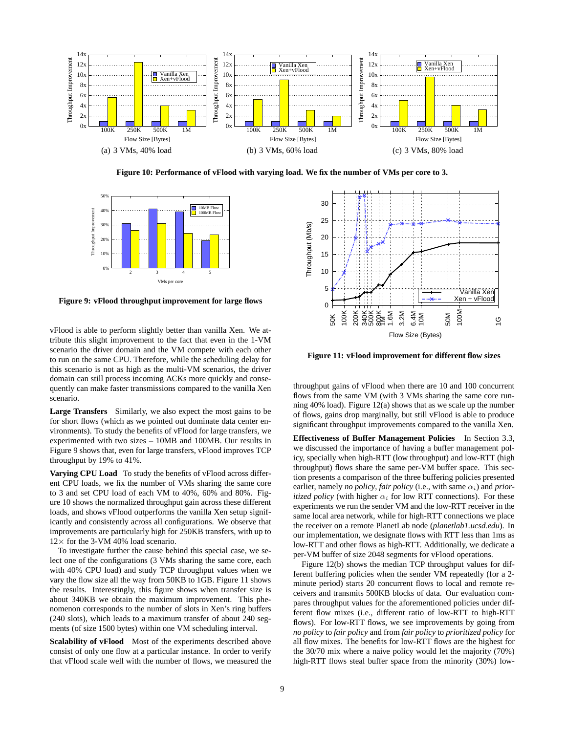

**Figure 10: Performance of vFlood with varying load. We fix the number of VMs per core to 3.**



**Figure 9: vFlood throughput improvement for large flows**

vFlood is able to perform slightly better than vanilla Xen. We attribute this slight improvement to the fact that even in the 1-VM scenario the driver domain and the VM compete with each other to run on the same CPU. Therefore, while the scheduling delay for this scenario is not as high as the multi-VM scenarios, the driver domain can still process incoming ACKs more quickly and consequently can make faster transmissions compared to the vanilla Xen scenario.

**Large Transfers** Similarly, we also expect the most gains to be for short flows (which as we pointed out dominate data center environments). To study the benefits of vFlood for large transfers, we experimented with two sizes – 10MB and 100MB. Our results in Figure 9 shows that, even for large transfers, vFlood improves TCP throughput by 19% to 41%.

**Varying CPU Load** To study the benefits of vFlood across different CPU loads, we fix the number of VMs sharing the same core to 3 and set CPU load of each VM to 40%, 60% and 80%. Figure 10 shows the normalized throughput gain across these different loads, and shows vFlood outperforms the vanilla Xen setup significantly and consistently across all configurations. We observe that improvements are particularly high for 250KB transfers, with up to  $12\times$  for the 3-VM 40% load scenario.

To investigate further the cause behind this special case, we select one of the configurations (3 VMs sharing the same core, each with 40% CPU load) and study TCP throughput values when we vary the flow size all the way from 50KB to 1GB. Figure 11 shows the results. Interestingly, this figure shows when transfer size is about 340KB we obtain the maximum improvement. This phenomenon corresponds to the number of slots in Xen's ring buffers (240 slots), which leads to a maximum transfer of about 240 segments (of size 1500 bytes) within one VM scheduling interval.

**Scalability of vFlood** Most of the experiments described above consist of only one flow at a particular instance. In order to verify that vFlood scale well with the number of flows, we measured the



**Figure 11: vFlood improvement for different flow sizes**

throughput gains of vFlood when there are 10 and 100 concurrent flows from the same VM (with 3 VMs sharing the same core running 40% load). Figure 12(a) shows that as we scale up the number of flows, gains drop marginally, but still vFlood is able to produce significant throughput improvements compared to the vanilla Xen.

**Effectiveness of Buffer Management Policies** In Section 3.3, we discussed the importance of having a buffer management policy, specially when high-RTT (low throughput) and low-RTT (high throughput) flows share the same per-VM buffer space. This section presents a comparison of the three buffering policies presented earlier, namely *no policy*, *fair policy* (i.e., with same  $\alpha_i$ ) and *prioritized policy* (with higher  $\alpha_i$  for low RTT connections). For these experiments we run the sender VM and the low-RTT receiver in the same local area network, while for high-RTT connections we place the receiver on a remote PlanetLab node (*planetlab1.ucsd.edu*). In our implementation, we designate flows with RTT less than 1ms as low-RTT and other flows as high-RTT. Additionally, we dedicate a per-VM buffer of size 2048 segments for vFlood operations.

Figure 12(b) shows the median TCP throughput values for different buffering policies when the sender VM repeatedly (for a 2 minute period) starts 20 concurrent flows to local and remote receivers and transmits 500KB blocks of data. Our evaluation compares throughput values for the aforementioned policies under different flow mixes (i.e., different ratio of low-RTT to high-RTT flows). For low-RTT flows, we see improvements by going from *no policy* to *fair policy* and from *fair policy* to *prioritized policy* for all flow mixes. The benefits for low-RTT flows are the highest for the 30/70 mix where a naive policy would let the majority (70%) high-RTT flows steal buffer space from the minority (30%) low-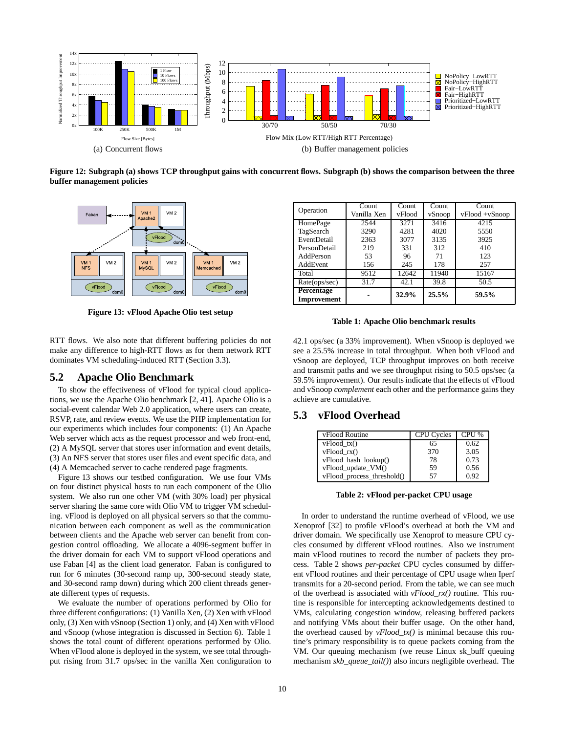

**Figure 12: Subgraph (a) shows TCP throughput gains with concurrent flows. Subgraph (b) shows the comparison between the three buffer management policies**



**Figure 13: vFlood Apache Olio test setup**

RTT flows. We also note that different buffering policies do not make any difference to high-RTT flows as for them network RTT dominates VM scheduling-induced RTT (Section 3.3).

# **5.2 Apache Olio Benchmark**

To show the effectiveness of vFlood for typical cloud applications, we use the Apache Olio benchmark [2, 41]. Apache Olio is a social-event calendar Web 2.0 application, where users can create, RSVP, rate, and review events. We use the PHP implementation for our experiments which includes four components: (1) An Apache Web server which acts as the request processor and web front-end, (2) A MySQL server that stores user information and event details, (3) An NFS server that stores user files and event specific data, and (4) A Memcached server to cache rendered page fragments.

Figure 13 shows our testbed configuration. We use four VMs on four distinct physical hosts to run each component of the Olio system. We also run one other VM (with 30% load) per physical server sharing the same core with Olio VM to trigger VM scheduling. vFlood is deployed on all physical servers so that the communication between each component as well as the communication between clients and the Apache web server can benefit from congestion control offloading. We allocate a 4096-segment buffer in the driver domain for each VM to support vFlood operations and use Faban [4] as the client load generator. Faban is configured to run for 6 minutes (30-second ramp up, 300-second steady state, and 30-second ramp down) during which 200 client threads generate different types of requests.

We evaluate the number of operations performed by Olio for three different configurations: (1) Vanilla Xen, (2) Xen with vFlood only, (3) Xen with vSnoop (Section 1) only, and (4) Xen with vFlood and vSnoop (whose integration is discussed in Section 6). Table 1 shows the total count of different operations performed by Olio. When vFlood alone is deployed in the system, we see total throughput rising from 31.7 ops/sec in the vanilla Xen configuration to

| Operation                 | Count<br>Vanilla Xen | Count<br>vFlood | Count<br>vSnoop | Count<br>vFlood +vSnoop |
|---------------------------|----------------------|-----------------|-----------------|-------------------------|
| HomePage                  | 2544                 | 3271            | 3416            | 4215                    |
|                           |                      |                 |                 |                         |
| TagSearch                 | 3290                 | 4281            | 4020            | 5550                    |
| EventDetail               | 2363                 | 3077            | 3135            | 3925                    |
| PersonDetail              | 219                  | 331             | 312             | 410                     |
| AddPerson                 | 53                   | 96              | 71              | 123                     |
| AddEvent                  | 156                  | 245             | 178             | 257                     |
| Total                     | 9512                 | 12642           | 11940           | 15167                   |
| Rate(ops/sec)             | 31.7                 | 42.1            | 39.8            | 50.5                    |
| Percentage<br>Improvement |                      | 32.9%           | 25.5%           | 59.5%                   |

**Table 1: Apache Olio benchmark results**

42.1 ops/sec (a 33% improvement). When vSnoop is deployed we see a 25.5% increase in total throughput. When both vFlood and vSnoop are deployed, TCP throughput improves on both receive and transmit paths and we see throughput rising to 50.5 ops/sec (a 59.5% improvement). Our results indicate that the effects of vFlood and vSnoop *complement* each other and the performance gains they achieve are cumulative.

# **5.3 vFlood Overhead**

| vFlood Routine             | <b>CPU Cycles</b> | $CPIJ\%$ |
|----------------------------|-------------------|----------|
| vFlood tx()                | 65                | 0.62     |
| vFlood rx()                | 370               | 3.05     |
| vFlood_hash_lookup()       | 78                | 0.73     |
| vFlood_update_VM()         | 59                | 0.56     |
| vFlood_process_threshold() | 57                | 0.92     |

**Table 2: vFlood per-packet CPU usage**

In order to understand the runtime overhead of vFlood, we use Xenoprof [32] to profile vFlood's overhead at both the VM and driver domain. We specifically use Xenoprof to measure CPU cycles consumed by different vFlood routines. Also we instrument main vFlood routines to record the number of packets they process. Table 2 shows *per-packet* CPU cycles consumed by different vFlood routines and their percentage of CPU usage when Iperf transmits for a 20-second period. From the table, we can see much of the overhead is associated with *vFlood\_rx()* routine. This routine is responsible for intercepting acknowledgements destined to VMs, calculating congestion window, releasing buffered packets and notifying VMs about their buffer usage. On the other hand, the overhead caused by *vFlood\_tx()* is minimal because this routine's primary responsibility is to queue packets coming from the VM. Our queuing mechanism (we reuse Linux sk\_buff queuing mechanism *skb\_queue\_tail()*) also incurs negligible overhead. The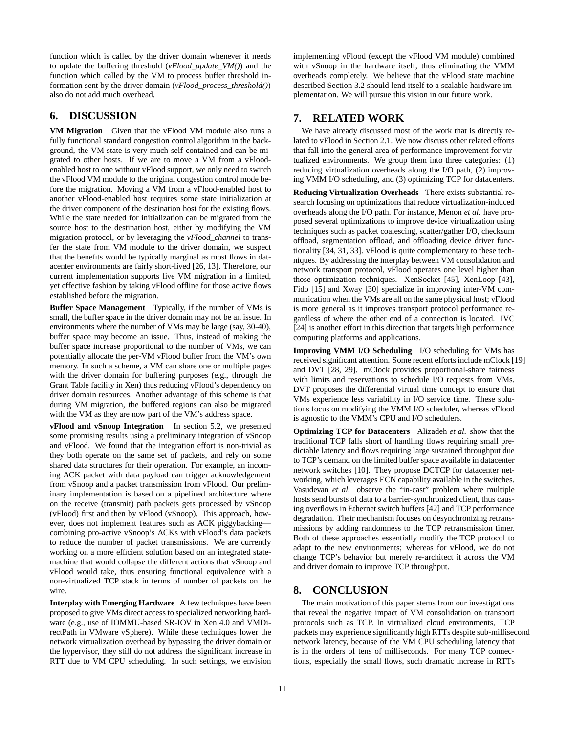function which is called by the driver domain whenever it needs to update the buffering threshold (*vFlood\_update\_VM()*) and the function which called by the VM to process buffer threshold information sent by the driver domain (*vFlood\_process\_threshold()*) also do not add much overhead.

# **6. DISCUSSION**

**VM Migration** Given that the vFlood VM module also runs a fully functional standard congestion control algorithm in the background, the VM state is very much self-contained and can be migrated to other hosts. If we are to move a VM from a vFloodenabled host to one without vFlood support, we only need to switch the vFlood VM module to the original congestion control mode before the migration. Moving a VM from a vFlood-enabled host to another vFlood-enabled host requires some state initialization at the driver component of the destination host for the existing flows. While the state needed for initialization can be migrated from the source host to the destination host, either by modifying the VM migration protocol, or by leveraging the *vFlood\_channel* to transfer the state from VM module to the driver domain, we suspect that the benefits would be typically marginal as most flows in datacenter environments are fairly short-lived [26, 13]. Therefore, our current implementation supports live VM migration in a limited, yet effective fashion by taking vFlood offline for those active flows established before the migration.

**Buffer Space Management** Typically, if the number of VMs is small, the buffer space in the driver domain may not be an issue. In environments where the number of VMs may be large (say, 30-40), buffer space may become an issue. Thus, instead of making the buffer space increase proportional to the number of VMs, we can potentially allocate the per-VM vFlood buffer from the VM's own memory. In such a scheme, a VM can share one or multiple pages with the driver domain for buffering purposes (e.g., through the Grant Table facility in Xen) thus reducing vFlood's dependency on driver domain resources. Another advantage of this scheme is that during VM migration, the buffered regions can also be migrated with the VM as they are now part of the VM's address space.

**vFlood and vSnoop Integration** In section 5.2, we presented some promising results using a preliminary integration of vSnoop and vFlood. We found that the integration effort is non-trivial as they both operate on the same set of packets, and rely on some shared data structures for their operation. For example, an incoming ACK packet with data payload can trigger acknowledgement from vSnoop and a packet transmission from vFlood. Our preliminary implementation is based on a pipelined architecture where on the receive (transmit) path packets gets processed by vSnoop (vFlood) first and then by vFlood (vSnoop). This approach, however, does not implement features such as ACK piggybacking combining pro-active vSnoop's ACKs with vFlood's data packets to reduce the number of packet transmissions. We are currently working on a more efficient solution based on an integrated statemachine that would collapse the different actions that vSnoop and vFlood would take, thus ensuring functional equivalence with a non-virtualized TCP stack in terms of number of packets on the wire.

**Interplay with Emerging Hardware** A few techniques have been proposed to give VMs direct access to specialized networking hardware (e.g., use of IOMMU-based SR-IOV in Xen 4.0 and VMDirectPath in VMware vSphere). While these techniques lower the network virtualization overhead by bypassing the driver domain or the hypervisor, they still do not address the significant increase in RTT due to VM CPU scheduling. In such settings, we envision implementing vFlood (except the vFlood VM module) combined with vSnoop in the hardware itself, thus eliminating the VMM overheads completely. We believe that the vFlood state machine described Section 3.2 should lend itself to a scalable hardware implementation. We will pursue this vision in our future work.

# **7. RELATED WORK**

We have already discussed most of the work that is directly related to vFlood in Section 2.1. We now discuss other related efforts that fall into the general area of performance improvement for virtualized environments. We group them into three categories: (1) reducing virtualization overheads along the I/O path, (2) improving VMM I/O scheduling, and (3) optimizing TCP for datacenters.

**Reducing Virtualization Overheads** There exists substantial research focusing on optimizations that reduce virtualization-induced overheads along the I/O path. For instance, Menon *et al.* have proposed several optimizations to improve device virtualization using techniques such as packet coalescing, scatter/gather I/O, checksum offload, segmentation offload, and offloading device driver functionality [34, 31, 33]. vFlood is quite complementary to these techniques. By addressing the interplay between VM consolidation and network transport protocol, vFlood operates one level higher than those optimization techniques. XenSocket [45], XenLoop [43], Fido [15] and Xway [30] specialize in improving inter-VM communication when the VMs are all on the same physical host; vFlood is more general as it improves transport protocol performance regardless of where the other end of a connection is located. IVC [24] is another effort in this direction that targets high performance computing platforms and applications.

**Improving VMM I/O Scheduling** I/O scheduling for VMs has received significant attention. Some recent efforts include mClock [19] and DVT [28, 29]. mClock provides proportional-share fairness with limits and reservations to schedule I/O requests from VMs. DVT proposes the differential virtual time concept to ensure that VMs experience less variability in I/O service time. These solutions focus on modifying the VMM I/O scheduler, whereas vFlood is agnostic to the VMM's CPU and I/O schedulers.

**Optimizing TCP for Datacenters** Alizadeh *et al.* show that the traditional TCP falls short of handling flows requiring small predictable latency and flows requiring large sustained throughput due to TCP's demand on the limited buffer space available in datacenter network switches [10]. They propose DCTCP for datacenter networking, which leverages ECN capability available in the switches. Vasudevan *et al.* observe the "in-cast" problem where multiple hosts send bursts of data to a barrier-synchronized client, thus causing overflows in Ethernet switch buffers [42] and TCP performance degradation. Their mechanism focuses on desynchronizing retransmissions by adding randomness to the TCP retransmission timer. Both of these approaches essentially modify the TCP protocol to adapt to the new environments; whereas for vFlood, we do not change TCP's behavior but merely re-architect it across the VM and driver domain to improve TCP throughput.

# **8. CONCLUSION**

The main motivation of this paper stems from our investigations that reveal the negative impact of VM consolidation on transport protocols such as TCP. In virtualized cloud environments, TCP packets may experience significantly high RTTs despite sub-millisecond network latency, because of the VM CPU scheduling latency that is in the orders of tens of milliseconds. For many TCP connections, especially the small flows, such dramatic increase in RTTs